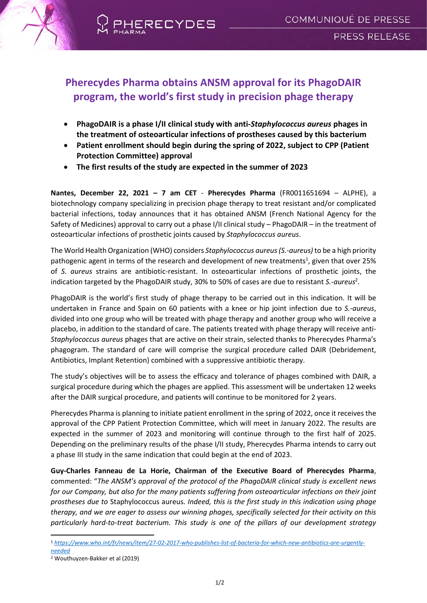

## **Pherecydes Pharma obtains ANSM approval for its PhagoDAIR program, the world's first study in precision phage therapy**

- **PhagoDAIR is a phase I/II clinical study with anti-***Staphylococcus aureus* **phages in the treatment of osteoarticular infections of prostheses caused by this bacterium**
- **Patient enrollment should begin during the spring of 2022, subject to CPP (Patient Protection Committee) approval**
- **The first results of the study are expected in the summer of 2023**

**Nantes, December 22, 2021 – 7 am CET** - **Pherecydes Pharma** (FR0011651694 – ALPHE), a biotechnology company specializing in precision phage therapy to treat resistant and/or complicated bacterial infections, today announces that it has obtained ANSM (French National Agency for the Safety of Medicines) approval to carry out a phase I/II clinical study – PhagoDAIR – in the treatment of osteoarticular infections of prosthetic joints caused by *Staphylococcus aureus*.

The World Health Organization (WHO) considers *Staphylococcus aureus(S.-aureus)* to be a high priority pathogenic agent in terms of the research and development of new treatments<sup>1</sup>, given that over 25% of *S. aureus* strains are antibiotic-resistant. In osteoarticular infections of prosthetic joints, the indication targeted by the PhagoDAIR study, 30% to 50% of cases are due to resistant *S.-aureus*<sup>2</sup> .

PhagoDAIR is the world's first study of phage therapy to be carried out in this indication. It will be undertaken in France and Spain on 60 patients with a knee or hip joint infection due to *S.-aureus*, divided into one group who will be treated with phage therapy and another group who will receive a placebo, in addition to the standard of care. The patients treated with phage therapy will receive anti-*Staphylococcus aureus* phages that are active on their strain, selected thanks to Pherecydes Pharma's phagogram. The standard of care will comprise the surgical procedure called DAIR (Debridement, Antibiotics, Implant Retention) combined with a suppressive antibiotic therapy.

The study's objectives will be to assess the efficacy and tolerance of phages combined with DAIR, a surgical procedure during which the phages are applied. This assessment will be undertaken 12 weeks after the DAIR surgical procedure, and patients will continue to be monitored for 2 years.

Pherecydes Pharma is planning to initiate patient enrollment in the spring of 2022, once it receives the approval of the CPP Patient Protection Committee, which will meet in January 2022. The results are expected in the summer of 2023 and monitoring will continue through to the first half of 2025. Depending on the preliminary results of the phase I/II study, Pherecydes Pharma intends to carry out a phase III study in the same indication that could begin at the end of 2023.

**Guy-Charles Fanneau de La Horie, Chairman of the Executive Board of Pherecydes Pharma**, commented: "*The ANSM's approval of the protocol of the PhagoDAIR clinical study is excellent news for our Company, but also for the many patients suffering from osteoarticular infections on their joint prostheses due to* Staphylococcus aureus*. Indeed, this is the first study in this indication using phage therapy, and we are eager to assess our winning phages, specifically selected for their activity on this particularly hard-to-treat bacterium. This study is one of the pillars of our development strategy* 

<sup>1</sup> *[https://www.who.int/fr/news/item/27-02-2017-who-publishes-list-of-bacteria-for-which-new-antibiotics-are-urgently](https://www.who.int/fr/news/item/27-02-2017-who-publishes-list-of-bacteria-for-which-new-antibiotics-are-urgently-needed)[needed](https://www.who.int/fr/news/item/27-02-2017-who-publishes-list-of-bacteria-for-which-new-antibiotics-are-urgently-needed)*

<sup>2</sup> Wouthuyzen-Bakker et al (2019)